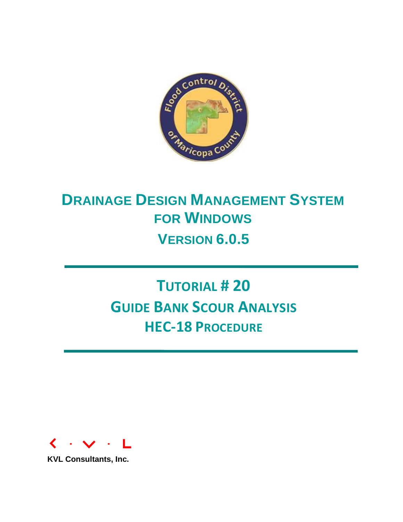

# **DRAINAGE DESIGN MANAGEMENT SYSTEM FOR WINDOWS VERSION 6.0.5**

# **TUTORIAL # 20 GUIDE BANK SCOUR ANALYSIS HEC-18 PROCEDURE**



**KVL Consultants, Inc.**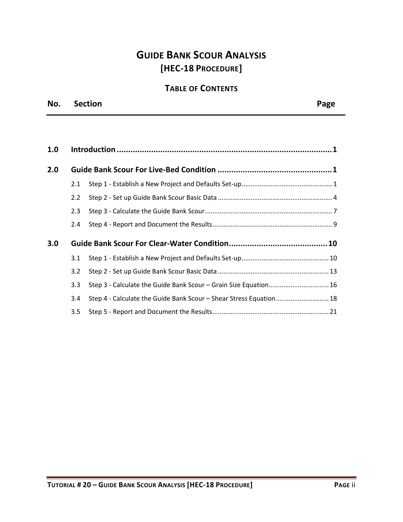## **GUIDE BANK SCOUR ANALYSIS [HEC-18 PROCEDURE]**

## **TABLE OF CONTENTS**

| No. | <b>Section</b> | Page |
|-----|----------------|------|
|     |                |      |

| 1.0 |                  |                                                                    |  |
|-----|------------------|--------------------------------------------------------------------|--|
| 2.0 |                  |                                                                    |  |
|     | 2.1              |                                                                    |  |
|     | $2.2^{\circ}$    |                                                                    |  |
|     | 2.3              |                                                                    |  |
|     | $2.4^{\circ}$    |                                                                    |  |
| 3.0 |                  |                                                                    |  |
|     | 3.1              |                                                                    |  |
|     | 3.2              |                                                                    |  |
|     | $3.3\phantom{0}$ | Step 3 - Calculate the Guide Bank Scour - Grain Size Equation 16   |  |
|     | $3.4^{\circ}$    | Step 4 - Calculate the Guide Bank Scour - Shear Stress Equation 18 |  |
|     | 3.5              |                                                                    |  |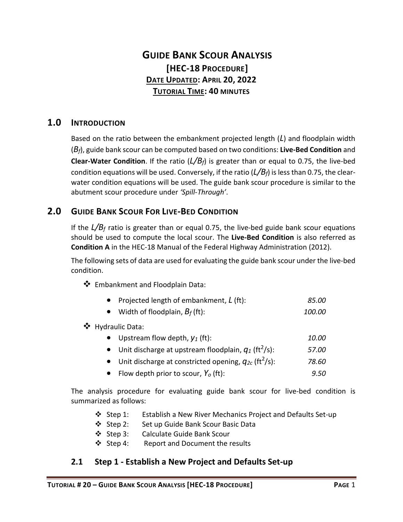## **GUIDE BANK SCOUR ANALYSIS [HEC-18 PROCEDURE] DATE UPDATED: APRIL 20, 2022 TUTORIAL TIME: 40 MINUTES**

## <span id="page-2-0"></span>**1.0 INTRODUCTION**

Based on the ratio between the embankment projected length (*L*) and floodplain width (*Bf*), guide bank scour can be computed based on two conditions: **Live-Bed Condition** and **Clear-Water Condition**. If the ratio (*L/Bf*) is greater than or equal to 0.75, the live-bed condition equations will be used. Conversely, if the ratio (*L/Bf*) is less than 0.75, the clearwater condition equations will be used. The guide bank scour procedure is similar to the abutment scour procedure under *'Spill-Through'*.

#### <span id="page-2-1"></span>**2.0 GUIDE BANK SCOUR FOR LIVE-BED CONDITION**

If the *L/B<sup>f</sup>* ratio is greater than or equal 0.75, the live-bed guide bank scour equations should be used to compute the local scour. The **Live-Bed Condition** is also referred as **Condition A** in the HEC-18 Manual of the Federal Highway Administration (2012).

The following sets of data are used for evaluating the guide bank scour under the live-bed condition.

❖ Embankment and Floodplain Data:

|  | Projected length of embankment, L (ft): | 85.00 |
|--|-----------------------------------------|-------|
|--|-----------------------------------------|-------|

• Width of floodplain, *B<sup>f</sup>* (ft): *100.00*

❖ Hydraulic Data:

| • Upstream flow depth, $y_1$ (ft):                                   | 10.00 |
|----------------------------------------------------------------------|-------|
| • Unit discharge at upstream floodplain, $q_1$ (ft <sup>2</sup> /s): | 57.00 |

- Unit discharge at constricted opening,  $q_{2c}$  (ft<sup>2</sup>/s): /s): *78.60*
- Flow depth prior to scour, *Y<sup>o</sup>* (ft): *9.50*

The analysis procedure for evaluating guide bank scour for live-bed condition is summarized as follows:

- ❖ Step 1: Establish a New River Mechanics Project and Defaults Set-up
- ❖ Step 2: Set up Guide Bank Scour Basic Data
- ❖ Step 3: Calculate Guide Bank Scour
- ❖ Step 4: Report and Document the results

#### <span id="page-2-2"></span>**2.1 Step 1 - Establish a New Project and Defaults Set-up**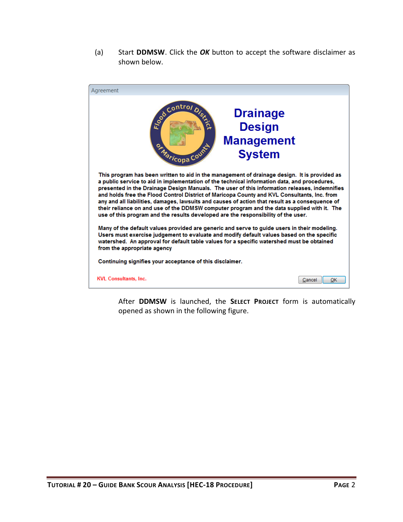(a) Start **DDMSW**. Click the *OK* button to accept the software disclaimer as shown below.



After **DDMSW** is launched, the **SELECT PROJECT** form is automatically opened as shown in the following figure.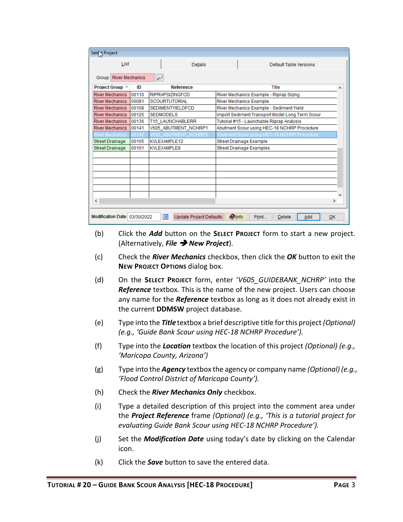| Selet Project                   |       |                                       |                                                 |  |  |  |  |  |
|---------------------------------|-------|---------------------------------------|-------------------------------------------------|--|--|--|--|--|
| List                            |       | <b>Details</b>                        | Default Table Versions                          |  |  |  |  |  |
| <b>River Mechanics</b><br>Group |       | ₽                                     |                                                 |  |  |  |  |  |
| Project Group $\triangle$       | ID    | <b>Reference</b>                      | Title<br>۸                                      |  |  |  |  |  |
| <b>River Mechanics</b>          | 00110 | <b>RIPRAPSIZINGFCD</b>                | River Mechanics Example - Riprap Sizing         |  |  |  |  |  |
| <b>River Mechanics</b>          | 00081 | <b>SCOURTUTORIAL</b>                  | <b>River Mechanics Example</b>                  |  |  |  |  |  |
| <b>River Mechanics</b>          | 00108 | <b>SEDIMENTYIELDFCD</b>               | River Mechanics Example - Sediment Yield        |  |  |  |  |  |
| <b>River Mechanics</b>          | 00125 | <b>SEDMODELS</b>                      | Import Sediment Transport Model Long Term Scour |  |  |  |  |  |
| <b>River Mechanics</b>          | 00136 | <b>T15 LAUNCHABLERR</b>               | Tutorial #15 - Launchable Riprap Analysis       |  |  |  |  |  |
| <b>River Mechanics</b>          | 00141 | V605_ABUTMENT_NCHRP1                  | Abutment Scour using HEC-18 NCHRP Procedure     |  |  |  |  |  |
| <b>River Mechanics</b>          | 00142 | <b>605 ABUTMENT_NCHRP2</b>            | Abutment Scour using HEC-18 NCHRP Procedure     |  |  |  |  |  |
| <b>Street Drainage</b>          | 00105 | KVLEXAMPLE12                          | Street Drainage Example                         |  |  |  |  |  |
| <b>Street Drainage</b>          | 00101 | KVLEXAMPLE8                           | <b>Street Drainage Examples</b>                 |  |  |  |  |  |
|                                 |       |                                       |                                                 |  |  |  |  |  |
|                                 |       |                                       |                                                 |  |  |  |  |  |
|                                 |       |                                       |                                                 |  |  |  |  |  |
|                                 |       |                                       |                                                 |  |  |  |  |  |
|                                 |       |                                       |                                                 |  |  |  |  |  |
|                                 |       |                                       |                                                 |  |  |  |  |  |
|                                 |       |                                       |                                                 |  |  |  |  |  |
| $\,<\,$                         |       |                                       | ⋗                                               |  |  |  |  |  |
|                                 |       |                                       |                                                 |  |  |  |  |  |
| Modification Date 03/30/2022    |       | ia.<br><b>Update Project Defaults</b> | <b>Olnfo</b><br>Print<br>Add<br>OK<br>Delete    |  |  |  |  |  |

- (b) Click the *Add* button on the **SELECT PROJECT** form to start a new project. (Alternatively, *File* ➔ *New Project*).
- (c) Check the *River Mechanics* checkbox, then click the *OK* button to exit the **NEW PROJECT OPTIONS** dialog box.
- (d) On the **SELECT PROJECT** form, enter '*V605\_GUIDEBANK\_NCHRP'* into the *Reference* textbox. This is the name of the new project. Users can choose any name for the *Reference* textbox as long as it does not already exist in the current **DDMSW** project database.
- (e) Type into the *Title* textbox a brief descriptive title forthis project *(Optional) (e.g., 'Guide Bank Scour using HEC-18 NCHRP Procedure').*
- (f) Type into the *Location* textbox the location of this project *(Optional) (e.g., 'Maricopa County, Arizona')*
- (g) Type into the *Agency* textbox the agency or company name *(Optional) (e.g., 'Flood Control District of Maricopa County').*
- (h) Check the *River Mechanics Only* checkbox.
- (i) Type a detailed description of this project into the comment area under the *Project Reference* frame *(Optional) (e.g., 'This is a tutorial project for evaluating Guide Bank Scour using HEC-18 NCHRP Procedure').*
- (j) Set the *Modification Date* using today's date by clicking on the Calendar icon.
- (k) Click the *Save* button to save the entered data.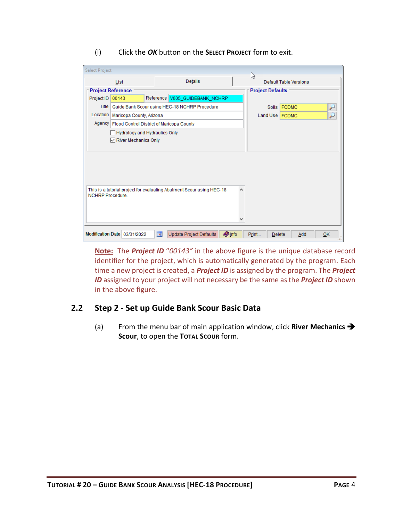| (1) | Click the OK button on the SELECT PROJECT form to exit. |
|-----|---------------------------------------------------------|
|-----|---------------------------------------------------------|

| Select Project          |                                                                            |     |                                                                       |              | な                       |                               |           |  |
|-------------------------|----------------------------------------------------------------------------|-----|-----------------------------------------------------------------------|--------------|-------------------------|-------------------------------|-----------|--|
|                         | List                                                                       |     | Details                                                               |              |                         | <b>Default Table Versions</b> |           |  |
|                         | <b>Project Reference</b>                                                   |     |                                                                       |              | <b>Project Defaults</b> |                               |           |  |
| Project ID              | 00143                                                                      |     | Reference V605_GUIDEBANK_NCHRP                                        |              |                         |                               |           |  |
| Title                   |                                                                            |     | Guide Bank Scour using HEC-18 NCHRP Procedure                         |              |                         | Soils FCDMC                   |           |  |
| Location                | Maricopa County, Arizona                                                   |     |                                                                       |              | Land Use FCDMC          |                               | ۷         |  |
|                         | Agency   Flood Control District of Maricopa County                         |     |                                                                       |              |                         |                               |           |  |
|                         | Hydrology and Hydraulics Only<br>$\sqrt{\phantom{a}}$ River Mechanics Only |     |                                                                       |              |                         |                               |           |  |
| <b>NCHRP Procedure.</b> |                                                                            |     | This is a tutorial project for evaluating Abutment Scour using HEC-18 | ۸            |                         |                               |           |  |
|                         |                                                                            |     |                                                                       |              |                         |                               |           |  |
|                         | Modification Date 03/31/2022                                               | ia. | Update Project Defaults                                               | <b>Olnfo</b> | Print<br><b>Delete</b>  | Add                           | <b>OK</b> |  |

**Note:** The *Project ID* "*00143"* in the above figure is the unique database record identifier for the project, which is automatically generated by the program. Each time a new project is created, a *Project ID* is assigned by the program. The *Project ID* assigned to your project will not necessary be the same as the *Project ID* shown in the above figure.

#### <span id="page-5-0"></span>**2.2 Step 2 - Set up Guide Bank Scour Basic Data**

(a) From the menu bar of main application window, click **River Mechanics** ➔ **Scour**, to open the **TOTAL SCOUR** form.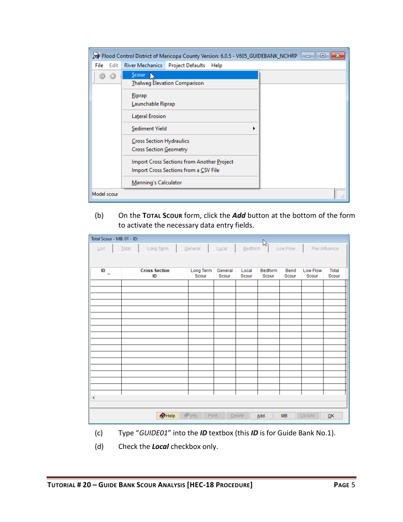|              | Flood Control District of Maricopa County Version: 6.0.5 - V605_GUIDEBANK_NCHRP<br>▣                                                                                        |
|--------------|-----------------------------------------------------------------------------------------------------------------------------------------------------------------------------|
| Edit<br>File | River Mechanics Project Defaults Help                                                                                                                                       |
|              | Scour<br>Thalweg Elevation Comparison<br>Riprap<br>Launchable Riprap<br><b>Lateral Erosion</b><br>Sediment Yield<br>▶<br>Cross Section Hydraulics<br>Cross Section Geometry |
|              | Import Cross Sections from Another Project<br>Import Cross Sections from a CSV File<br>Manning's Calculator                                                                 |
| Model scour  |                                                                                                                                                                             |

(b) On the **TOTAL SCOUR** form, click the *Add* button at the bottom of the form to activate the necessary data entry fields.

| Total Scour - MB: 01 - ID:<br>B |                            |                    |                      |                |                  |               |                          |                |  |
|---------------------------------|----------------------------|--------------------|----------------------|----------------|------------------|---------------|--------------------------|----------------|--|
| $\underline{\mathsf{List}}$     | Long Term<br>Total         | General            | $L\underline{o}$ cal | Bedform        |                  | Low Flow      |                          | Pier Influence |  |
|                                 |                            |                    |                      |                |                  |               |                          |                |  |
| ID<br>$\Delta$                  | <b>Cross Section</b><br>ID | Long Term<br>Scour | General<br>Scour     | Local<br>Scour | Bedform<br>Scour | Bend<br>Scour | <b>Low Flow</b><br>Scour | Total<br>Scour |  |
|                                 |                            |                    |                      |                |                  |               |                          |                |  |
|                                 |                            |                    |                      |                |                  |               |                          |                |  |
|                                 |                            |                    |                      |                |                  |               |                          |                |  |
|                                 |                            |                    |                      |                |                  |               |                          |                |  |
|                                 |                            |                    |                      |                |                  |               |                          |                |  |
|                                 |                            |                    |                      |                |                  |               |                          |                |  |
|                                 |                            |                    |                      |                |                  |               |                          |                |  |
|                                 |                            |                    |                      |                |                  |               |                          |                |  |
|                                 |                            |                    |                      |                |                  |               |                          |                |  |
|                                 |                            |                    |                      |                |                  |               |                          |                |  |
|                                 |                            |                    |                      |                |                  |               |                          |                |  |
|                                 |                            |                    |                      |                |                  |               |                          |                |  |
| $\,$ $\,$                       |                            |                    |                      |                |                  |               |                          |                |  |
|                                 |                            |                    |                      |                |                  |               |                          |                |  |
|                                 | $\bigcirc$ Help            | $\Diamond$ Info    | Print                | Delete         | Add              | <b>MB</b>     | Update                   | QK             |  |

- (c) Type "*GUIDE01*" into the *ID* textbox (this *ID* is for Guide Bank No.1).
- (d) Check the *Local* checkbox only.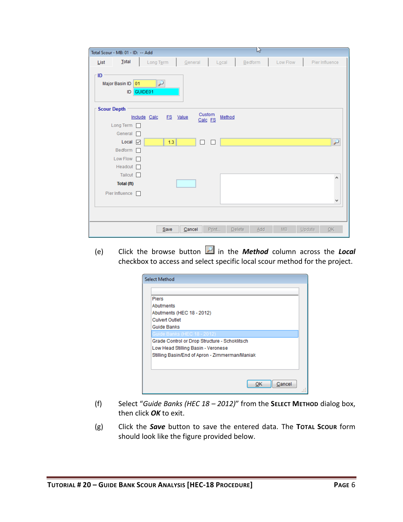|      | Total Scour - MB: 01 - ID: -- Add |              |          |                 |        | ß       |          |                |
|------|-----------------------------------|--------------|----------|-----------------|--------|---------|----------|----------------|
| List | Total                             | Long Term    |          | General         | Local  | Bedform | Low Flow | Pier Influence |
| ID   | Major Basin ID 01<br>ID           | ₽<br>GUIDE01 |          |                 |        |         |          |                |
|      | <b>Scour Depth</b>                |              |          | Custom          |        |         |          |                |
|      |                                   | Include Calc | FS Value | Calc FS         | Method |         |          |                |
|      | Long Term $\Box$<br>General n     |              |          |                 |        |         |          |                |
|      | Local $\boxed{\smile}$            |              | 1.3      | □<br>П          |        |         |          | $\overline{r}$ |
|      | Bedform $\Box$                    |              |          |                 |        |         |          |                |
|      | Low Flow I                        |              |          |                 |        |         |          |                |
|      | Headcut <sup>[1]</sup>            |              |          |                 |        |         |          |                |
|      | Tailcut $\Box$                    |              |          |                 |        |         |          | ۸              |
|      | Total (ft)                        |              |          |                 |        |         |          |                |
|      | Pier Influence                    |              |          |                 |        |         |          |                |
|      |                                   |              |          |                 |        |         |          | v              |
|      |                                   |              |          |                 |        |         |          |                |
|      |                                   |              | Save     | Print<br>Cancel | Delete | Add     | MB       | Update<br>QK   |

(e) Click the browse button in the *Method* column across the *Local* checkbox to access and select specific local scour method for the project.

| <b>Piers</b>                                   |  |
|------------------------------------------------|--|
| Abutments                                      |  |
| Abutments (HEC 18 - 2012)                      |  |
| <b>Culvert Outlet</b>                          |  |
| <b>Guide Banks</b>                             |  |
| Guide Banks (HEC 18 - 2012)                    |  |
| Grade Control or Drop Structure - Schoklitsch  |  |
| Low Head Stilling Basin - Veronese             |  |
| Stilling Basin/End of Apron - Zimmerman/Maniak |  |
|                                                |  |
|                                                |  |

- (f) Select "*Guide Banks (HEC 18 – 2012)*" from the **SELECT METHOD** dialog box, then click *OK* to exit.
- (g) Click the *Save* button to save the entered data. The **TOTAL SCOUR** form should look like the figure provided below.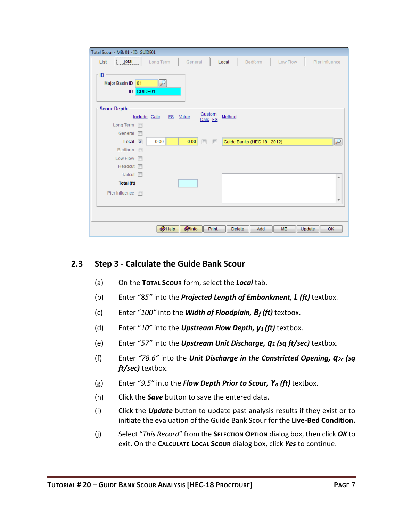| Total Scour - MB: 01 - ID: GUIDE01         |                                  |                     |                             |                     |                   |
|--------------------------------------------|----------------------------------|---------------------|-----------------------------|---------------------|-------------------|
| $\boxed{\phantom{1}$ Total<br>List         | General<br>Long Term             | Local               | Bedform                     | Low Flow            | Pier Influence    |
| - ID<br>Major Basin ID 01<br>GUIDE01<br>ID | $\triangleright$                 |                     |                             |                     |                   |
| <b>Scour Depth</b>                         |                                  | Custom              |                             |                     |                   |
| Include Calc                               | FS Value                         | Method<br>Calc FS   |                             |                     |                   |
| Long Term                                  |                                  |                     |                             |                     |                   |
| General<br>F                               |                                  |                     |                             |                     |                   |
| Local $ \nabla $                           | 0.00<br>0.00                     | $\blacksquare$<br>F | Guide Banks (HEC 18 - 2012) |                     | $\overline{\rho}$ |
| Bedform I                                  |                                  |                     |                             |                     |                   |
| Low Flow F                                 |                                  |                     |                             |                     |                   |
| Headcut I                                  |                                  |                     |                             |                     |                   |
| Tailcut <b>I</b>                           |                                  |                     |                             |                     | A.                |
| Total (ft)                                 |                                  |                     |                             |                     |                   |
| Pier Influence <b>n</b>                    |                                  |                     |                             |                     | ٠                 |
|                                            |                                  |                     |                             |                     |                   |
|                                            | $\bullet$ Info<br>$\bullet$ Help | Print<br>Delete     | Add                         | <b>MB</b><br>Update | QK                |

#### <span id="page-8-0"></span>**2.3 Step 3 - Calculate the Guide Bank Scour**

- (a) On the **TOTAL SCOUR** form, select the *Local* tab.
- (b) Enter "8*5"* into the *Projected Length of Embankment, L (ft)* textbox.
- (c) Enter "*100"* into the *Width of Floodplain, B<sup>f</sup> (ft)* textbox.
- (d) Enter "*10"* into the *Upstream Flow Depth, y<sup>1</sup> (ft)* textbox.
- (e) Enter "*57"* into the *Upstream Unit Discharge, q<sup>1</sup> (sq ft/sec)* textbox.
- (f) Enter *"78.6"* into the *Unit Discharge in the Constricted Opening, q2c (sq ft/sec)* textbox.
- (g) Enter "*9.5"* into the *Flow Depth Prior to Scour, Y<sup>o</sup> (ft)* textbox.
- (h) Click the *Save* button to save the entered data.
- (i) Click the *Update* button to update past analysis results if they exist or to initiate the evaluation of the Guide Bank Scour for the **Live-Bed Condition.**
- (j) Select "*This Record*" from the **SELECTION OPTION** dialog box, then click *OK* to exit. On the **CALCULATE LOCAL SCOUR** dialog box, click *Yes* to continue.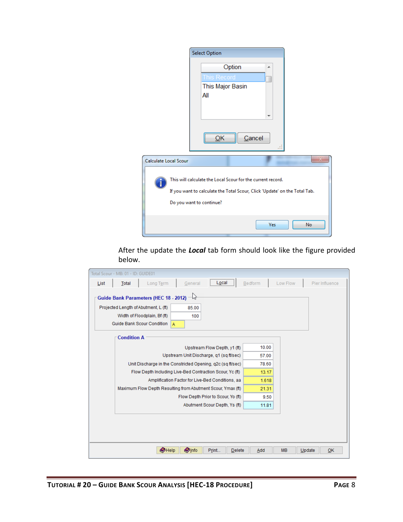|                       | <b>Select Option</b>                                                                    |                                                                            |
|-----------------------|-----------------------------------------------------------------------------------------|----------------------------------------------------------------------------|
|                       | Option<br>his Record                                                                    | ▴                                                                          |
|                       | This Major Basin<br>All                                                                 | Cancel                                                                     |
|                       |                                                                                         |                                                                            |
| Calculate Local Scour |                                                                                         |                                                                            |
|                       | This will calculate the Local Scour for the current record.<br>Do you want to continue? | If you want to calculate the Total Scour, Click 'Update' on the Total Tab. |
|                       |                                                                                         | Yes<br>No                                                                  |

After the update the *Local* tab form should look like the figure provided below.

| Total Scour - MB: 01 - ID: GUIDE01 |                                                                                                                                                                |                                                  |                                    |         |           |                |
|------------------------------------|----------------------------------------------------------------------------------------------------------------------------------------------------------------|--------------------------------------------------|------------------------------------|---------|-----------|----------------|
| List                               | Long Term<br><b>Total</b>                                                                                                                                      | General                                          | Local                              | Bedform | Low Flow  | Pier Influence |
|                                    | <b>Guide Bank Parameters (HEC 18 - 2012)</b><br>Projected Length of Abutment, L (ft)<br>Width of Floodplain, Bf (ft)<br><b>Guide Bank Scour Condition</b><br>A | $\rightarrow$<br>85.00<br>100                    |                                    |         |           |                |
|                                    | <b>Condition A</b>                                                                                                                                             |                                                  |                                    |         |           |                |
|                                    |                                                                                                                                                                |                                                  | Upstream Flow Depth, y1 (ft)       | 10.00   |           |                |
|                                    |                                                                                                                                                                | Upstream Unit Discharge, q1 (sq ft/sec)          |                                    | 57.00   |           |                |
|                                    | Unit Discharge in the Constricted Opening, g2c (sg ft/sec)                                                                                                     |                                                  |                                    | 78.60   |           |                |
|                                    | Flow Depth Including Live-Bed Contraction Scour, Yc (ft)                                                                                                       |                                                  |                                    | 13.17   |           |                |
|                                    |                                                                                                                                                                | Amplification Factor for Live-Bed Conditions, aa |                                    | 1.618   |           |                |
|                                    | Maximum Flow Depth Resulting from Abutment Scour, Ymax (ft)                                                                                                    |                                                  |                                    | 21.31   |           |                |
|                                    |                                                                                                                                                                |                                                  | Flow Depth Prior to Scour, Yo (ft) | 9.50    |           |                |
|                                    |                                                                                                                                                                |                                                  | Abutment Scour Depth, Ys (ft)      | 11.81   |           |                |
|                                    |                                                                                                                                                                |                                                  |                                    |         |           |                |
|                                    |                                                                                                                                                                |                                                  |                                    |         |           |                |
|                                    |                                                                                                                                                                |                                                  |                                    |         |           |                |
|                                    |                                                                                                                                                                |                                                  |                                    |         |           |                |
|                                    | $\bullet$ Help                                                                                                                                                 | <b>O</b> lnfo                                    | Print<br>Delete                    | Add     | <b>MB</b> | OK<br>Update   |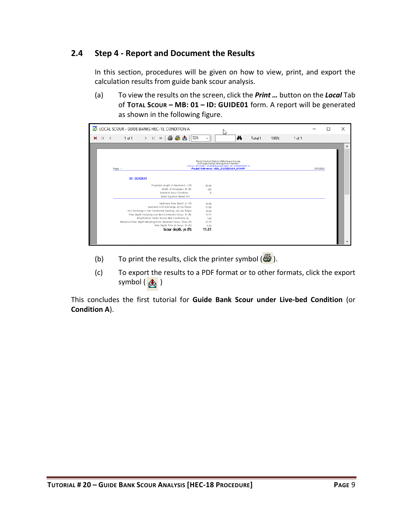#### <span id="page-10-0"></span>**2.4 Step 4 - Report and Document the Results**

In this section, procedures will be given on how to view, print, and export the calculation results from guide bank scour analysis.

(a) To view the results on the screen, click the *Print …* button on the *Local* Tab of **TOTAL SCOUR – MB: 01 – ID: GUIDE01** form. A report will be generated as shown in the following figure.

|   |                           |        | LOCAL SCOUR - GUIDE BANKS HEC-18, CONDITION A               |                                                                            |                                                                                                       |                      |     |                |                                                                                          |    |         |      |            |           | □ | ×                   |
|---|---------------------------|--------|-------------------------------------------------------------|----------------------------------------------------------------------------|-------------------------------------------------------------------------------------------------------|----------------------|-----|----------------|------------------------------------------------------------------------------------------|----|---------|------|------------|-----------|---|---------------------|
| × | $\mathbb{R}$ $\mathbb{R}$ |        | 1 of 1                                                      | $\blacktriangleright$ $\blacktriangleright$ $\blacktriangleright$ $\vdash$ | $\blacksquare$ $\blacksquare$ $\blacksquare$ $\blacksquare$                                           |                      | 72% | $\checkmark$   |                                                                                          | đφ | Total:1 | 100% | $1$ of $1$ |           |   |                     |
|   |                           |        |                                                             |                                                                            |                                                                                                       |                      |     |                |                                                                                          |    |         |      |            |           |   | $\hat{\phantom{a}}$ |
|   |                           |        |                                                             |                                                                            |                                                                                                       |                      |     |                |                                                                                          |    |         |      |            |           |   |                     |
|   |                           |        |                                                             |                                                                            |                                                                                                       |                      |     |                | Flood Control District of Maricopa County<br>Drainage Design Management System           |    |         |      |            |           |   |                     |
|   |                           | Page 1 |                                                             |                                                                            |                                                                                                       |                      |     |                | LOCAL SCOUR - GUIDE BANKS HEC-18, CONDITION A<br>Project Reference: V605_GUIDEBANK_NCHRP |    |         |      |            | 3/31/2022 |   |                     |
|   |                           |        | <b>ID: GUIDE01</b>                                          |                                                                            |                                                                                                       |                      |     |                |                                                                                          |    |         |      |            |           |   |                     |
|   |                           |        |                                                             |                                                                            | Projected Length of Abutment, L (ft)                                                                  |                      |     | 85.00          |                                                                                          |    |         |      |            |           |   |                     |
|   |                           |        |                                                             |                                                                            | Width of Floodplain, Bf (ft)<br>butment Scour Condition                                               |                      |     | 100<br>А       |                                                                                          |    |         |      |            |           |   |                     |
|   |                           |        |                                                             |                                                                            | Select Equation Based On:                                                                             |                      |     |                |                                                                                          |    |         |      |            |           |   |                     |
|   |                           |        |                                                             |                                                                            | Upstream Flow Depth, y1 (ft)                                                                          |                      |     | 10.00          |                                                                                          |    |         |      |            |           |   |                     |
|   |                           |        |                                                             |                                                                            | Upstream Unit Discharge, q1 (sq ft/sec)<br>Unit Discharge in the Constricted Opening, g2c (sq ft/sec) |                      |     | 57.00<br>78.60 |                                                                                          |    |         |      |            |           |   |                     |
|   |                           |        |                                                             |                                                                            | Flow Depth Including Live-Bed Contraction Scour, Yc (ft)                                              |                      |     | 13.17          |                                                                                          |    |         |      |            |           |   |                     |
|   |                           |        |                                                             |                                                                            | Amplification Factor forLive-Bed Conditions, aa                                                       |                      |     | 1.62           |                                                                                          |    |         |      |            |           |   |                     |
|   |                           |        | Maximum Flow Depth Resulting from Abutment Scour, Ymax (ft) |                                                                            |                                                                                                       |                      |     | 21.31          |                                                                                          |    |         |      |            |           |   |                     |
|   |                           |        |                                                             |                                                                            | Flow Depth Prior to Scour, Yo (ft)                                                                    |                      |     | 9.50           |                                                                                          |    |         |      |            |           |   |                     |
|   |                           |        |                                                             |                                                                            |                                                                                                       | Scour depth, ys (ft) |     | 11.81          |                                                                                          |    |         |      |            |           |   |                     |
|   |                           |        |                                                             |                                                                            |                                                                                                       |                      |     |                |                                                                                          |    |         |      |            |           |   |                     |
|   |                           |        |                                                             |                                                                            |                                                                                                       |                      |     |                |                                                                                          |    |         |      |            |           |   |                     |
|   |                           |        |                                                             |                                                                            |                                                                                                       |                      |     |                |                                                                                          |    |         |      |            |           |   |                     |

- (b) To print the results, click the printer symbol  $\left(\frac{B}{2}\right)$ .
- (c) To export the results to a PDF format or to other formats, click the export symbol  $\left(\begin{array}{c} A \\ B \end{array}\right)$

This concludes the first tutorial for **Guide Bank Scour under Live-bed Condition** (or **Condition A**).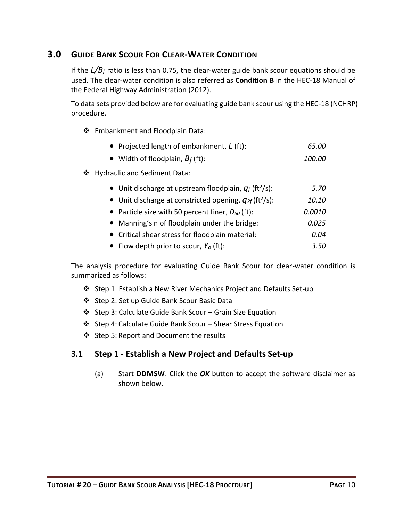## <span id="page-11-0"></span>**3.0 GUIDE BANK SCOUR FOR CLEAR-WATER CONDITION**

If the *L/B<sup>f</sup>* ratio is less than 0.75, the clear-water guide bank scour equations should be used. The clear-water condition is also referred as **Condition B** in the HEC-18 Manual of the Federal Highway Administration (2012).

To data sets provided below are for evaluating guide bank scour using the HEC-18 (NCHRP) procedure.

❖ Embankment and Floodplain Data:

| • Projected length of embankment, $L$ (ft):                             | 65.00  |
|-------------------------------------------------------------------------|--------|
| • Width of floodplain, $B_f$ (ft):                                      | 100.00 |
| ❖ Hydraulic and Sediment Data:                                          |        |
| • Unit discharge at upstream floodplain, $q_f$ (ft <sup>2</sup> /s):    | 5.70   |
| • Unit discharge at constricted opening, $q_{2f}$ (ft <sup>2</sup> /s): | 10.10  |
| • Particle size with 50 percent finer, $D_{50}$ (ft):                   | 0.0010 |
| • Manning's n of floodplain under the bridge:                           | 0.025  |
| • Critical shear stress for floodplain material:                        | 0.04   |
| • Flow depth prior to scour, $Y_o$ (ft):                                | 3.50   |

The analysis procedure for evaluating Guide Bank Scour for clear-water condition is summarized as follows:

- ❖ Step 1: Establish a New River Mechanics Project and Defaults Set-up
- ❖ Step 2: Set up Guide Bank Scour Basic Data
- ❖ Step 3: Calculate Guide Bank Scour Grain Size Equation
- ❖ Step 4: Calculate Guide Bank Scour Shear Stress Equation
- ❖ Step 5: Report and Document the results

#### <span id="page-11-1"></span>**3.1 Step 1 - Establish a New Project and Defaults Set-up**

(a) Start **DDMSW**. Click the *OK* button to accept the software disclaimer as shown below.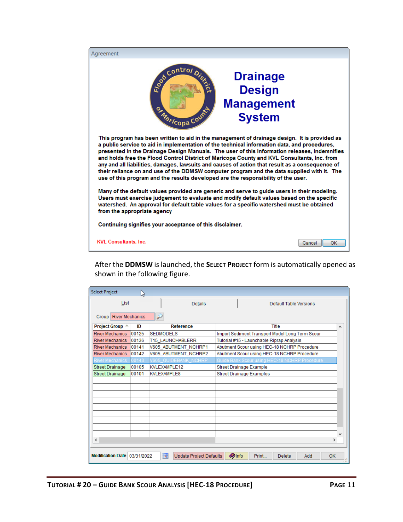| Aareement                                                                                                                                                                                                                                                                                                                                                                                                                                                                                                                                                                                                                                                                         |  |  |  |  |  |  |
|-----------------------------------------------------------------------------------------------------------------------------------------------------------------------------------------------------------------------------------------------------------------------------------------------------------------------------------------------------------------------------------------------------------------------------------------------------------------------------------------------------------------------------------------------------------------------------------------------------------------------------------------------------------------------------------|--|--|--|--|--|--|
| control Dist<br><b>Drainage</b><br><b>Design</b><br><b>Management</b><br>or Maricopa Count<br><b>System</b>                                                                                                                                                                                                                                                                                                                                                                                                                                                                                                                                                                       |  |  |  |  |  |  |
| This program has been written to aid in the management of drainage design. It is provided as<br>a public service to aid in implementation of the technical information data, and procedures,<br>presented in the Drainage Design Manuals. The user of this information releases, indemnifies<br>and holds free the Flood Control District of Maricopa County and KVL Consultants, Inc. from<br>any and all liabilities, damages, lawsuits and causes of action that result as a consequence of<br>their reliance on and use of the DDMSW computer program and the data supplied with it. The<br>use of this program and the results developed are the responsibility of the user. |  |  |  |  |  |  |
| Many of the default values provided are generic and serve to guide users in their modeling.<br>Users must exercise judgement to evaluate and modify default values based on the specific<br>watershed. An approval for default table values for a specific watershed must be obtained<br>from the appropriate agency                                                                                                                                                                                                                                                                                                                                                              |  |  |  |  |  |  |
| Continuing signifies your acceptance of this disclaimer.                                                                                                                                                                                                                                                                                                                                                                                                                                                                                                                                                                                                                          |  |  |  |  |  |  |
| <b>KVL Consultants, Inc.</b><br>OK<br>Cancel                                                                                                                                                                                                                                                                                                                                                                                                                                                                                                                                                                                                                                      |  |  |  |  |  |  |

After the **DDMSW** is launched, the **SELECT PROJECT** form is automatically opened as shown in the following figure.

| <b>Select Project</b>           | R,    |                                                            |                                                 |  |  |  |  |
|---------------------------------|-------|------------------------------------------------------------|-------------------------------------------------|--|--|--|--|
| List                            |       | <b>Details</b>                                             | Default Table Versions                          |  |  |  |  |
| <b>River Mechanics</b><br>Group |       | لز                                                         |                                                 |  |  |  |  |
| Project Group A                 | ID    | <b>Reference</b>                                           | Title<br>А                                      |  |  |  |  |
| <b>River Mechanics</b>          | 00125 | <b>SEDMODELS</b>                                           | Import Sediment Transport Model Long Term Scour |  |  |  |  |
| <b>River Mechanics</b>          | 00136 | T15 LAUNCHABLERR                                           | Tutorial #15 - Launchable Riprap Analysis       |  |  |  |  |
| <b>River Mechanics</b>          | 00141 | V605 ABUTMENT NCHRP1                                       | Abutment Scour using HEC-18 NCHRP Procedure     |  |  |  |  |
| <b>River Mechanics</b>          | 00142 | V605_ABUTMENT_NCHRP2                                       | Abutment Scour using HEC-18 NCHRP Procedure     |  |  |  |  |
| River Mechanics                 | 00143 | V605_GUIDEBANK_NCHRP                                       | Guide Bank Scour using HEC-18 NCHRP Procedure   |  |  |  |  |
| <b>Street Drainage</b>          | 00105 | KVLEXAMPLE12                                               | Street Drainage Example                         |  |  |  |  |
| <b>Street Drainage</b>          | 00101 | <b>KVLEXAMPLE8</b>                                         | Street Drainage Examples                        |  |  |  |  |
|                                 |       |                                                            |                                                 |  |  |  |  |
|                                 |       |                                                            |                                                 |  |  |  |  |
|                                 |       |                                                            |                                                 |  |  |  |  |
|                                 |       |                                                            |                                                 |  |  |  |  |
|                                 |       |                                                            |                                                 |  |  |  |  |
|                                 |       |                                                            |                                                 |  |  |  |  |
|                                 |       |                                                            |                                                 |  |  |  |  |
|                                 |       |                                                            |                                                 |  |  |  |  |
|                                 |       |                                                            |                                                 |  |  |  |  |
| ∢                               |       |                                                            | $\rightarrow$                                   |  |  |  |  |
| Modification Date 03/31/2022    |       | $\overline{\phantom{a}}$<br><b>Update Project Defaults</b> | <b>Olnfo</b><br>Print<br>Delete<br>OK<br>Add    |  |  |  |  |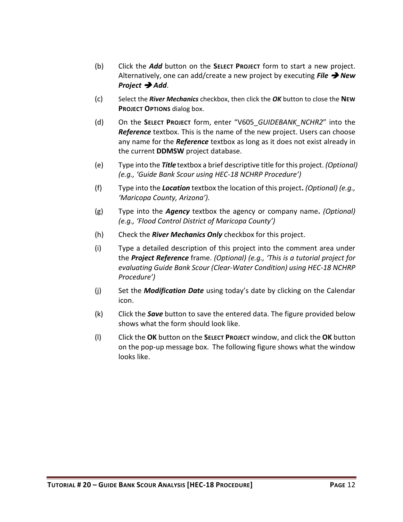- (b) Click the *Add* button on the **SELECT PROJECT** form to start a new project. Alternatively, one can add/create a new project by executing *File* ➔ *New Project* ➔ *Add*.
- (c) Select the *River Mechanics* checkbox, then click the *OK* button to close the **NEW PROJECT OPTIONS** dialog box.
- (d) On the **SELECT PROJECT** form, enter "V605\_*GUIDEBANK\_NCHR2*" into the *Reference* textbox. This is the name of the new project. Users can choose any name for the *Reference* textbox as long as it does not exist already in the current **DDMSW** project database.
- (e) Type into the *Title* textbox a brief descriptive title for this project. *(Optional) (e.g., 'Guide Bank Scour using HEC-18 NCHRP Procedure')*
- (f) Type into the *Location* textbox the location of this project**.** *(Optional) (e.g., 'Maricopa County, Arizona').*
- (g) Type into the *Agency* textbox the agency or company name**.** *(Optional) (e.g., 'Flood Control District of Maricopa County')*
- (h) Check the *River Mechanics Only* checkbox for this project.
- (i) Type a detailed description of this project into the comment area under the *Project Reference* frame. *(Optional) (e.g., 'This is a tutorial project for evaluating Guide Bank Scour (Clear-Water Condition) using HEC-18 NCHRP Procedure')*
- (j) Set the *Modification Date* using today's date by clicking on the Calendar icon.
- (k) Click the *Save* button to save the entered data. The figure provided below shows what the form should look like.
- (l) Click the **OK** button on the **SELECT PROJECT** window, and click the **OK** button on the pop-up message box. The following figure shows what the window looks like.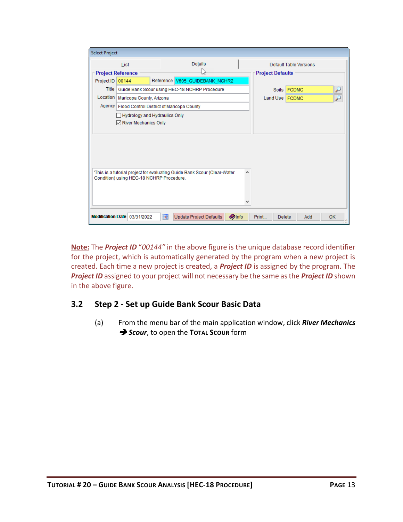| <b>Select Project</b> |                                                              |            |                                                                          |               |                         |                        |           |
|-----------------------|--------------------------------------------------------------|------------|--------------------------------------------------------------------------|---------------|-------------------------|------------------------|-----------|
|                       | List                                                         |            | Details                                                                  |               |                         | Default Table Versions |           |
|                       | <b>Project Reference</b>                                     |            | NY                                                                       |               | <b>Project Defaults</b> |                        |           |
| Project ID            | 00144                                                        |            | Reference V605_GUIDEBANK_NCHR2                                           |               |                         |                        |           |
| Title                 |                                                              |            | Guide Bank Scour using HEC-18 NCHRP Procedure                            |               |                         | Soils FCDMC            | تن        |
| Location              | Maricopa County, Arizona                                     |            |                                                                          |               | Land Use   FCDMC        |                        | r         |
|                       | Agency   Flood Control District of Maricopa County           |            |                                                                          |               |                         |                        |           |
|                       | <b>Hydrology and Hydraulics Only</b><br>River Mechanics Only |            |                                                                          |               |                         |                        |           |
|                       | Condition) using HEC-18 NCHRP Procedure.                     |            | 'This is a tutorial project for evaluating Guide Bank Scour (Clear-Water | ۸             |                         |                        |           |
|                       | Modification Date 03/31/2022                                 | <b>Tal</b> | <b>Update Project Defaults</b>                                           | <b>O</b> Info | Print<br>Delete         | Add                    | <b>OK</b> |

**Note:** The *Project ID* "*00144"* in the above figure is the unique database record identifier for the project, which is automatically generated by the program when a new project is created. Each time a new project is created, a *Project ID* is assigned by the program. The *Project ID* assigned to your project will not necessary be the same as the *Project ID* shown in the above figure.

### <span id="page-14-0"></span>**3.2 Step 2 - Set up Guide Bank Scour Basic Data**

(a) From the menu bar of the main application window, click *River Mechanics*  ➔ *Scour*, to open the **TOTAL SCOUR** form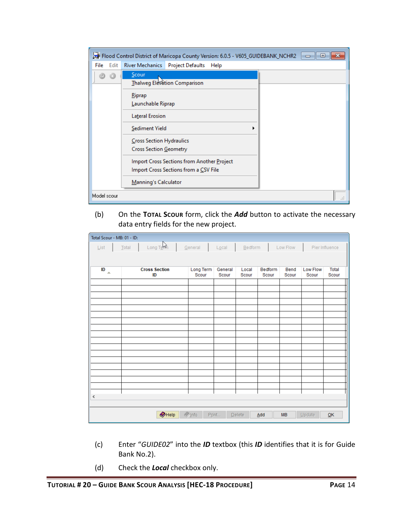|              | Flood Control District of Maricopa County Version: 6.0.5 - V605_GUIDEBANK_NCHR2     | oh<br>x<br>$\Box$ |
|--------------|-------------------------------------------------------------------------------------|-------------------|
| Edit<br>File | River Mechanics Project Defaults<br>Help                                            |                   |
|              | Scour<br>Thalweg Elevation Comparison                                               |                   |
|              | Riprap<br>Launchable Riprap                                                         |                   |
|              | Lateral Erosion                                                                     |                   |
|              | Sediment Yield                                                                      |                   |
|              | Cross Section Hydraulics<br>Cross Section Geometry                                  |                   |
|              | Import Cross Sections from Another Project<br>Import Cross Sections from a CSV File |                   |
|              | Manning's Calculator                                                                |                   |
| Model scour  |                                                                                     | $-11$             |

#### (b) On the **TOTAL SCOUR** form, click the *Add* button to activate the necessary data entry fields for the new project.

| Total Scour - MB: 01 - ID: |                                                                                    |                    |                  |                |                |               |          |                                    |  |
|----------------------------|------------------------------------------------------------------------------------|--------------------|------------------|----------------|----------------|---------------|----------|------------------------------------|--|
| List                       | Long Tenn<br>General<br>Low Flow<br>Pier Influence<br>Local<br>$B$ edform<br>Total |                    |                  |                |                |               |          |                                    |  |
|                            |                                                                                    |                    |                  |                |                |               |          |                                    |  |
|                            | <b>Cross Section</b>                                                               |                    |                  |                | <b>Bedform</b> |               | Low Flow | <b>Total</b>                       |  |
| ID<br>$\Delta$             | ID                                                                                 | Long Term<br>Scour | General<br>Scour | Local<br>Scour | Scour          | Bend<br>Scour | Scour    | Scour                              |  |
|                            |                                                                                    |                    |                  |                |                |               |          |                                    |  |
|                            |                                                                                    |                    |                  |                |                |               |          |                                    |  |
|                            |                                                                                    |                    |                  |                |                |               |          |                                    |  |
|                            |                                                                                    |                    |                  |                |                |               |          |                                    |  |
|                            |                                                                                    |                    |                  |                |                |               |          |                                    |  |
|                            |                                                                                    |                    |                  |                |                |               |          |                                    |  |
|                            |                                                                                    |                    |                  |                |                |               |          |                                    |  |
|                            |                                                                                    |                    |                  |                |                |               |          |                                    |  |
|                            |                                                                                    |                    |                  |                |                |               |          |                                    |  |
|                            |                                                                                    |                    |                  |                |                |               |          |                                    |  |
|                            |                                                                                    |                    |                  |                |                |               |          |                                    |  |
|                            |                                                                                    |                    |                  |                |                |               |          |                                    |  |
|                            |                                                                                    |                    |                  |                |                |               |          |                                    |  |
|                            |                                                                                    |                    |                  |                |                |               |          |                                    |  |
| $\leq$                     |                                                                                    |                    |                  |                |                |               |          |                                    |  |
|                            |                                                                                    |                    |                  |                |                |               |          |                                    |  |
|                            | $\bigcirc$ Help                                                                    | $\sqrt{\ln 10}$    | Print            | Delete         | Add            | <b>MB</b>     | Update   | $\underline{\mathsf{O}}\mathsf{K}$ |  |

- (c) Enter "*GUIDE02*" into the *ID* textbox (this *ID* identifies that it is for Guide Bank No.2).
- (d) Check the *Local* checkbox only.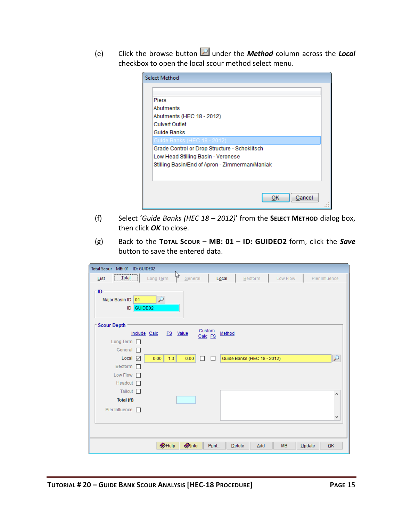(e) Click the browse button under the *Method* column across the *Local* checkbox to open the local scour method select menu.

| <b>Select Method</b>                           |              |
|------------------------------------------------|--------------|
|                                                |              |
| <b>Piers</b>                                   |              |
| Abutments                                      |              |
| Abutments (HEC 18 - 2012)                      |              |
| <b>Culvert Outlet</b>                          |              |
| Guide Banks                                    |              |
| Guide Banks (HEC 18 - 2012)                    |              |
| Grade Control or Drop Structure - Schoklitsch  |              |
| Low Head Stilling Basin - Veronese             |              |
| Stilling Basin/End of Apron - Zimmerman/Maniak |              |
|                                                |              |
|                                                |              |
|                                                |              |
|                                                | Cancel<br>ок |
|                                                |              |

- (f) Select '*Guide Banks (HEC 18 – 2012)*' from the **SELECT METHOD** dialog box, then click *OK* to close.
- (g) Back to the **TOTAL SCOUR – MB: 01 – ID: GUIDEO2** form, click the *Save* button to save the entered data.

| Total Scour - MB: 01 - ID: GUIDE02                   |                                 |                             |           |                |
|------------------------------------------------------|---------------------------------|-----------------------------|-----------|----------------|
| $\sqrt{\frac{1}{10}}$ otal<br>List                   | ŀβ<br>Long Term<br>General      | Local<br>Bedform            | Low Flow  | Pier Influence |
| $\sqcap$ ID<br>Major Basin ID<br>01<br>GUIDE02<br>ID | $\overline{\nu}$                |                             |           |                |
| <b>Scour Depth</b>                                   | Custom                          |                             |           |                |
| Include Calc                                         | <b>FS</b><br>Value<br>Calc FS   | Method                      |           |                |
| Long Term  <br>General<br>П                          |                                 |                             |           |                |
| Local $\triangledown$                                | 1.3<br>0.00<br>0.00<br>п        | Guide Banks (HEC 18 - 2012) |           | P              |
| Bedform                                              |                                 |                             |           |                |
| Low Flow $\Box$                                      |                                 |                             |           |                |
| Headcut $\Box$                                       |                                 |                             |           |                |
| Tailcut                                              |                                 |                             |           | ۸              |
| Total (ft)                                           |                                 |                             |           |                |
| Pier Influence                                       |                                 |                             |           |                |
|                                                      |                                 |                             |           | v              |
|                                                      |                                 |                             |           |                |
|                                                      |                                 |                             |           |                |
|                                                      | $\bullet$ Help<br><b>O</b> Info | Print<br>Add<br>Delete      | <b>MB</b> | QK<br>Update   |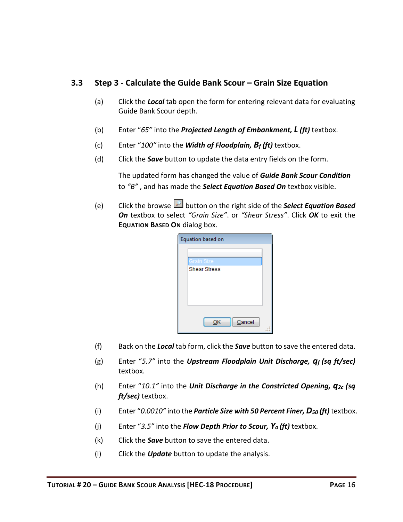#### <span id="page-17-0"></span>**3.3 Step 3 - Calculate the Guide Bank Scour – Grain Size Equation**

- (a) Click the *Local* tab open the form for entering relevant data for evaluating Guide Bank Scour depth.
- (b) Enter "*65"* into the *Projected Length of Embankment, L (ft)* textbox.
- (c) Enter "*100"* into the *Width of Floodplain, B<sup>f</sup> (ft)* textbox.
- (d) Click the *Save* button to update the data entry fields on the form.

The updated form has changed the value of *Guide Bank Scour Condition* to *"B"* , and has made the *Select Equation Based On* textbox visible.

(e) Click the browse button on the right side of the *Select Equation Based On* textbox to select *"Grain Size"*. or *"Shear Stress"*. Click *OK* to exit the **EQUATION BASED ON** dialog box.

| Equation based on   |  |
|---------------------|--|
|                     |  |
| Grain Size          |  |
| <b>Shear Stress</b> |  |
|                     |  |
|                     |  |
|                     |  |
|                     |  |
| Cancel<br>OK        |  |
|                     |  |

- (f) Back on the *Local* tab form, click the *Save* button to save the entered data.
- (g) Enter "*5.7"* into the *Upstream Floodplain Unit Discharge, q<sup>f</sup> (sq ft/sec)* textbox.
- (h) Enter "*10.1"* into the *Unit Discharge in the Constricted Opening, q2c (sq ft/sec)* textbox.
- (i) Enter "*0.0010"* into the *Particle Size with 50 Percent Finer, D<sup>50</sup> (ft)* textbox.
- (j) Enter "*3.5"* into the *Flow Depth Prior to Scour, Yo (ft)* textbox.
- (k) Click the *Save* button to save the entered data.
- (l) Click the *Update* button to update the analysis.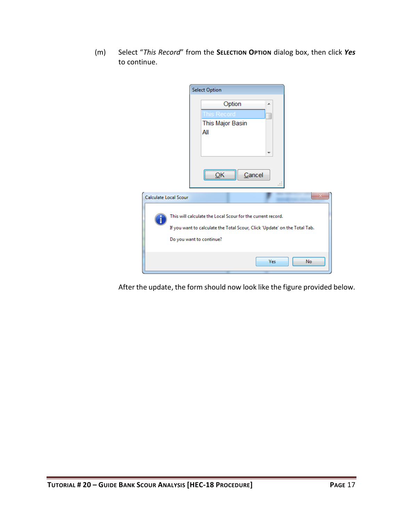(m) Select "*This Record*" from the **SELECTION OPTION** dialog box, then click *Yes* to continue.

|                       | <b>Select Option</b>                                                                                                                                                  |                  |     |    |
|-----------------------|-----------------------------------------------------------------------------------------------------------------------------------------------------------------------|------------------|-----|----|
|                       | This Record<br>This Major Basin<br>All                                                                                                                                | Option<br>Cancel | ┻   |    |
| Calculate Local Scour |                                                                                                                                                                       |                  |     |    |
|                       | This will calculate the Local Scour for the current record.<br>If you want to calculate the Total Scour, Click 'Update' on the Total Tab.<br>Do you want to continue? |                  |     |    |
|                       |                                                                                                                                                                       |                  | Yes | No |

After the update, the form should now look like the figure provided below.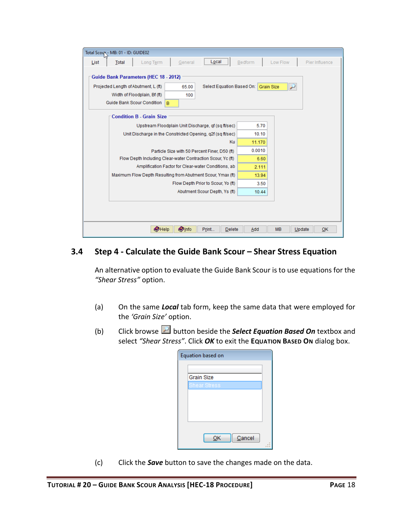| Total Scoux - MB: 01 - ID: GUIDE02                                                                                                                                                                                           |                |  |  |  |  |  |
|------------------------------------------------------------------------------------------------------------------------------------------------------------------------------------------------------------------------------|----------------|--|--|--|--|--|
| Low Flow<br>Local<br>Bedform<br>Long Term<br>General<br>List<br>Total                                                                                                                                                        | Pier Influence |  |  |  |  |  |
| Guide Bank Parameters (HEC 18 - 2012)<br>Projected Length of Abutment, L (ft)<br>Select Equation Based On: Grain Size<br>$\overline{\nu}$<br>65.00<br>Width of Floodplain, Bf (ft)<br>100<br>Guide Bank Scour Condition<br>B |                |  |  |  |  |  |
| <b>Condition B - Grain Size</b>                                                                                                                                                                                              |                |  |  |  |  |  |
| Upstream Floodplain Unit Discharge, qf (sq ft/sec)<br>5.70                                                                                                                                                                   |                |  |  |  |  |  |
| Unit Discharge in the Constricted Opening, q2f (sq ft/sec)<br>10.10                                                                                                                                                          |                |  |  |  |  |  |
| Ku<br>11.170                                                                                                                                                                                                                 |                |  |  |  |  |  |
| 0.0010<br>Particle Size with 50 Percent Finer, D50 (ft)                                                                                                                                                                      |                |  |  |  |  |  |
| Flow Depth Including Clear-water Contraction Scour, Yc (ft)<br>6.60                                                                                                                                                          |                |  |  |  |  |  |
| Amplification Factor for Clear-water Conditions, ab<br>2.111                                                                                                                                                                 |                |  |  |  |  |  |
| Maximum Flow Depth Resulting from Abutment Scour, Ymax (ft)<br>13.94                                                                                                                                                         |                |  |  |  |  |  |
| Flow Depth Prior to Scour, Yo (ft)<br>3.50<br>Abutment Scour Depth, Ys (ft)<br>10.44                                                                                                                                         |                |  |  |  |  |  |
|                                                                                                                                                                                                                              |                |  |  |  |  |  |
|                                                                                                                                                                                                                              |                |  |  |  |  |  |
| <b>O</b> Info<br><b>O</b> Help<br>Print<br><b>MB</b><br><b>Delete</b><br>Add<br>Update<br>OK                                                                                                                                 |                |  |  |  |  |  |

## <span id="page-19-0"></span>**3.4 Step 4 - Calculate the Guide Bank Scour – Shear Stress Equation**

An alternative option to evaluate the Guide Bank Scour is to use equations for the *"Shear Stress"* option.

- (a) On the same *Local* tab form, keep the same data that were employed for the *'Grain Size'* option.
- (b) Click browse **button beside the Select Equation Based On** textbox and select *"Shear Stress"*. Click *OK* to exit the **EQUATION BASED ON** dialog box.

| Equation based on |        |
|-------------------|--------|
|                   |        |
| <b>Grain Size</b> |        |
| Shear Stress      |        |
|                   |        |
|                   |        |
|                   |        |
|                   |        |
| Cancel<br>OK      |        |
|                   | $\sim$ |

(c) Click the *Save* button to save the changes made on the data.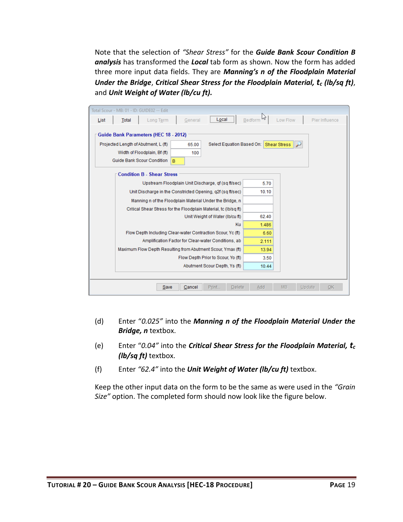Note that the selection of *"Shear Stress"* for the *Guide Bank Scour Condition B analysis* has transformed the *Local* tab form as shown. Now the form has added three more input data fields. They are *Manning's n of the Floodplain Material Under the Bridge*, *Critical Shear Stress for the Floodplain Material, t<sup>c</sup> (lb/sq ft)*, and *Unit Weight of Water (lb/cu ft).*

| Total Scour - MB: 01 - ID: GUIDE02 -- Edit                                                                                                                                                                 |                                             |  |  |  |  |  |  |
|------------------------------------------------------------------------------------------------------------------------------------------------------------------------------------------------------------|---------------------------------------------|--|--|--|--|--|--|
| <b>Total</b><br>Long Term<br>General<br>Local<br>List                                                                                                                                                      | hz<br>Bedform<br>Low Flow<br>Pier Influence |  |  |  |  |  |  |
| Guide Bank Parameters (HEC 18 - 2012)<br>Projected Length of Abutment, L (ft)<br>Select Equation Based On: Shear Stress<br>65.00<br>Width of Floodplain, Bf (ft)<br>100<br>Guide Bank Scour Condition<br>B |                                             |  |  |  |  |  |  |
| <b>Condition B - Shear Stress</b>                                                                                                                                                                          |                                             |  |  |  |  |  |  |
| Upstream Floodplain Unit Discharge, qf (sq ft/sec)                                                                                                                                                         | 5.70                                        |  |  |  |  |  |  |
| Unit Discharge in the Constricted Opening, g2f (sg ft/sec)                                                                                                                                                 | 10.10                                       |  |  |  |  |  |  |
| Manning n of the Floodplain Material Under the Bridge, n                                                                                                                                                   |                                             |  |  |  |  |  |  |
| Critical Shear Stress for the Floodplain Material, tc (Ib/sq ft)                                                                                                                                           |                                             |  |  |  |  |  |  |
| Unit Weight of Water (Ib/cu ft)                                                                                                                                                                            | 62.40                                       |  |  |  |  |  |  |
| Ku                                                                                                                                                                                                         | 1.486                                       |  |  |  |  |  |  |
| Flow Depth Including Clear-water Contraction Scour, Yc (ft)                                                                                                                                                | 6.60                                        |  |  |  |  |  |  |
| Amplification Factor for Clear-water Conditions, ab                                                                                                                                                        | 2.111                                       |  |  |  |  |  |  |
| Maximum Flow Depth Resulting from Abutment Scour, Ymax (ft)                                                                                                                                                | 13.94                                       |  |  |  |  |  |  |
| Flow Depth Prior to Scour, Yo (ft)                                                                                                                                                                         | 3.50                                        |  |  |  |  |  |  |
| Abutment Scour Depth, Ys (ft)                                                                                                                                                                              | 10.44                                       |  |  |  |  |  |  |
|                                                                                                                                                                                                            |                                             |  |  |  |  |  |  |
| Print<br>MB<br>Save<br>Cancel<br>Delete<br>Add<br>Update<br>OK                                                                                                                                             |                                             |  |  |  |  |  |  |

- (d) Enter "*0.025"* into the *Manning n of the Floodplain Material Under the Bridge, n* textbox.
- (e) Enter "*0.04"* into the *Critical Shear Stress for the Floodplain Material, t<sup>c</sup> (lb/sq ft)* textbox.
- (f) Enter *"62.4"* into the *Unit Weight of Water (lb/cu ft)* textbox.

Keep the other input data on the form to be the same as were used in the *"Grain Size"* option. The completed form should now look like the figure below.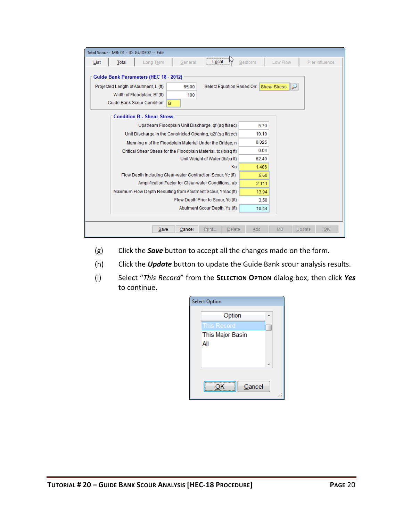| Total Scour - MB: 01 - ID: GUIDE02 -- Edit                                                                                                                                                                 |                |  |  |  |  |  |  |
|------------------------------------------------------------------------------------------------------------------------------------------------------------------------------------------------------------|----------------|--|--|--|--|--|--|
| General<br>Local<br>Bedform<br>Low Flow<br><b>Total</b><br>Long Term<br>List                                                                                                                               | Pier Influence |  |  |  |  |  |  |
| Guide Bank Parameters (HEC 18 - 2012)<br>Projected Length of Abutment, L (ft)<br>Select Equation Based On: Shear Stress<br>65.00<br>Width of Floodplain, Bf (ft)<br>100<br>Guide Bank Scour Condition<br>B |                |  |  |  |  |  |  |
| <b>Condition B - Shear Stress</b>                                                                                                                                                                          |                |  |  |  |  |  |  |
| Upstream Floodplain Unit Discharge, of (sq ft/sec)<br>5.70                                                                                                                                                 |                |  |  |  |  |  |  |
| Unit Discharge in the Constricted Opening, q2f (sq ft/sec)<br>10.10                                                                                                                                        |                |  |  |  |  |  |  |
| 0.025<br>Manning n of the Floodplain Material Under the Bridge, n                                                                                                                                          |                |  |  |  |  |  |  |
| 0.04<br>Critical Shear Stress for the Floodplain Material, to (Ib/sq ft)                                                                                                                                   |                |  |  |  |  |  |  |
| Unit Weight of Water (Ib/cu ft)<br>62.40                                                                                                                                                                   |                |  |  |  |  |  |  |
| Ku<br>1.486                                                                                                                                                                                                |                |  |  |  |  |  |  |
| Flow Depth Including Clear-water Contraction Scour, Yc (ft)<br>6.60                                                                                                                                        |                |  |  |  |  |  |  |
| Amplification Factor for Clear-water Conditions, ab<br>2.111                                                                                                                                               |                |  |  |  |  |  |  |
| Maximum Flow Depth Resulting from Abutment Scour, Ymax (ft)<br>13.94                                                                                                                                       |                |  |  |  |  |  |  |
| Flow Depth Prior to Scour, Yo (ft)<br>3.50                                                                                                                                                                 |                |  |  |  |  |  |  |
| Abutment Scour Depth, Ys (ft)<br>10.44                                                                                                                                                                     |                |  |  |  |  |  |  |
|                                                                                                                                                                                                            |                |  |  |  |  |  |  |
| Print<br>MB<br>Save<br>Cancel<br>Add<br>Update<br>OK<br><b>Delete</b>                                                                                                                                      |                |  |  |  |  |  |  |

- (g) Click the *Save* button to accept all the changes made on the form.
- (h) Click the *Update* button to update the Guide Bank scour analysis results.
- (i) Select "*This Record*" from the **SELECTION OPTION** dialog box, then click *Yes* to continue.